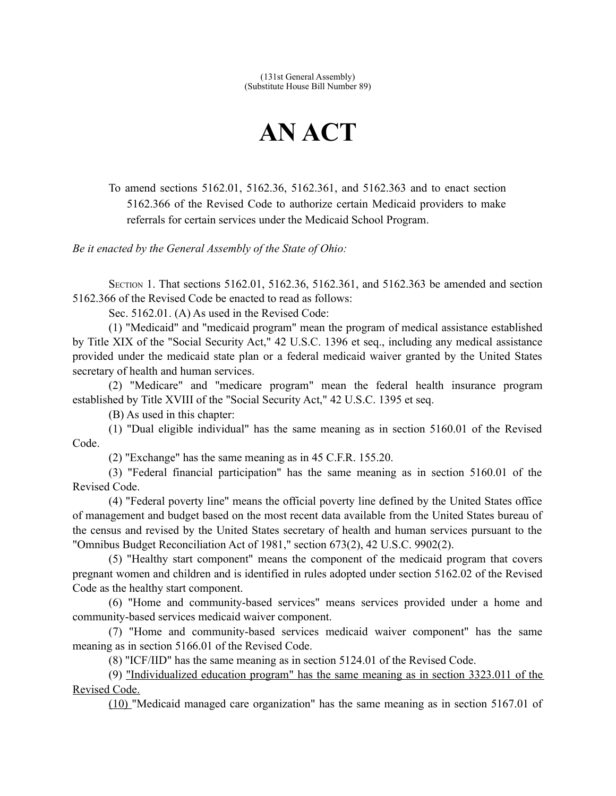(131st General Assembly) (Substitute House Bill Number 89)

## **AN ACT**

To amend sections 5162.01, 5162.36, 5162.361, and 5162.363 and to enact section 5162.366 of the Revised Code to authorize certain Medicaid providers to make referrals for certain services under the Medicaid School Program.

*Be it enacted by the General Assembly of the State of Ohio:*

SECTION 1. That sections 5162.01, 5162.36, 5162.361, and 5162.363 be amended and section 5162.366 of the Revised Code be enacted to read as follows:

Sec. 5162.01. (A) As used in the Revised Code:

(1) "Medicaid" and "medicaid program" mean the program of medical assistance established by Title XIX of the "Social Security Act," 42 U.S.C. 1396 et seq., including any medical assistance provided under the medicaid state plan or a federal medicaid waiver granted by the United States secretary of health and human services.

(2) "Medicare" and "medicare program" mean the federal health insurance program established by Title XVIII of the "Social Security Act," 42 U.S.C. 1395 et seq.

(B) As used in this chapter:

(1) "Dual eligible individual" has the same meaning as in section 5160.01 of the Revised Code.

(2) "Exchange" has the same meaning as in 45 C.F.R. 155.20.

(3) "Federal financial participation" has the same meaning as in section 5160.01 of the Revised Code.

(4) "Federal poverty line" means the official poverty line defined by the United States office of management and budget based on the most recent data available from the United States bureau of the census and revised by the United States secretary of health and human services pursuant to the "Omnibus Budget Reconciliation Act of 1981," section 673(2), 42 U.S.C. 9902(2).

(5) "Healthy start component" means the component of the medicaid program that covers pregnant women and children and is identified in rules adopted under section 5162.02 of the Revised Code as the healthy start component.

(6) "Home and community-based services" means services provided under a home and community-based services medicaid waiver component.

(7) "Home and community-based services medicaid waiver component" has the same meaning as in section 5166.01 of the Revised Code.

(8) "ICF/IID" has the same meaning as in section 5124.01 of the Revised Code.

(9) "Individualized education program" has the same meaning as in section 3323.011 of the Revised Code.

(10) "Medicaid managed care organization" has the same meaning as in section 5167.01 of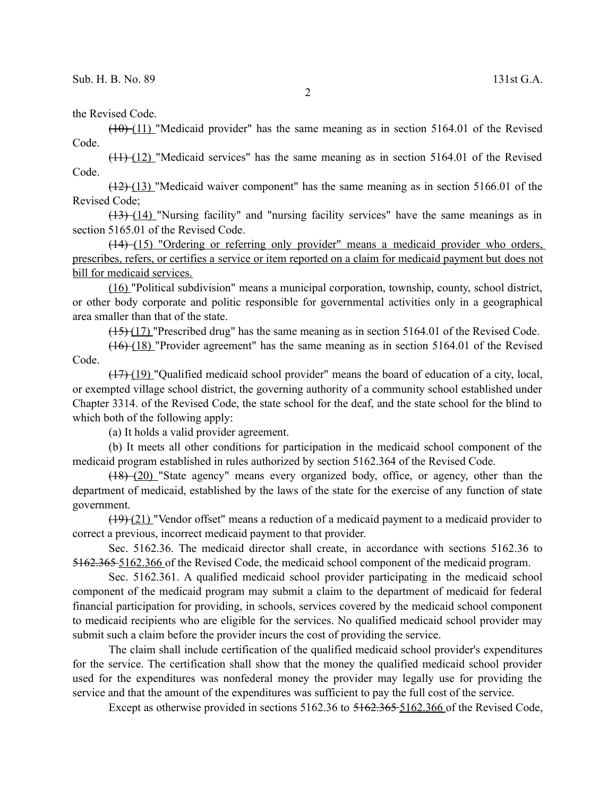the Revised Code.

 $(10)$  (11) "Medicaid provider" has the same meaning as in section 5164.01 of the Revised Code.

 $(11)$  (12) "Medicaid services" has the same meaning as in section 5164.01 of the Revised Code.

(12) ( 13)"Medicaid waiver component" has the same meaning as in section 5166.01 of the Revised Code;

(13) ( 14) "Nursing facility" and "nursing facility services" have the same meanings as in section 5165.01 of the Revised Code.

(14) (15) "Ordering or referring only provider" means a medicaid provider who orders, prescribes, refers, or certifies a service or item reported on a claim for medicaid payment but does not bill for medicaid services.

(16) "Political subdivision" means a municipal corporation, township, county, school district, or other body corporate and politic responsible for governmental activities only in a geographical area smaller than that of the state.

(15) (17) "Prescribed drug" has the same meaning as in section 5164.01 of the Revised Code.

(16) (18) "Provider agreement" has the same meaning as in section 5164.01 of the Revised Code.

 $(17)$  (19) "Qualified medicaid school provider" means the board of education of a city, local, or exempted village school district, the governing authority of a community school established under Chapter 3314. of the Revised Code, the state school for the deaf, and the state school for the blind to which both of the following apply:

(a) It holds a valid provider agreement.

(b) It meets all other conditions for participation in the medicaid school component of the medicaid program established in rules authorized by section 5162.364 of the Revised Code.

(18) (20) "State agency" means every organized body, office, or agency, other than the department of medicaid, established by the laws of the state for the exercise of any function of state government.

(19) (21) "Vendor offset" means a reduction of a medicaid payment to a medicaid provider to correct a previous, incorrect medicaid payment to that provider.

Sec. 5162.36. The medicaid director shall create, in accordance with sections 5162.36 to 5162.365 5 162.366 of the Revised Code, the medicaid school component of the medicaid program.

Sec. 5162.361. A qualified medicaid school provider participating in the medicaid school component of the medicaid program may submit a claim to the department of medicaid for federal financial participation for providing, in schools, services covered by the medicaid school component to medicaid recipients who are eligible for the services. No qualified medicaid school provider may submit such a claim before the provider incurs the cost of providing the service.

The claim shall include certification of the qualified medicaid school provider's expenditures for the service. The certification shall show that the money the qualified medicaid school provider used for the expenditures was nonfederal money the provider may legally use for providing the service and that the amount of the expenditures was sufficient to pay the full cost of the service.

Except as otherwise provided in sections 5162.36 to 5162.365-5162.366 of the Revised Code,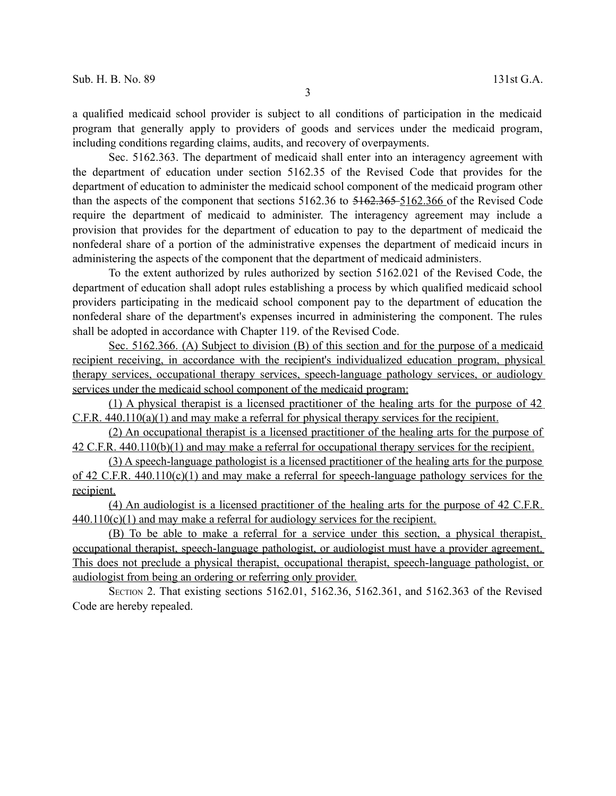Sec. 5162.363. The department of medicaid shall enter into an interagency agreement with the department of education under section 5162.35 of the Revised Code that provides for the department of education to administer the medicaid school component of the medicaid program other than the aspects of the component that sections 5162.36 to 5162.365 5 162.366 of the Revised Code require the department of medicaid to administer. The interagency agreement may include a provision that provides for the department of education to pay to the department of medicaid the nonfederal share of a portion of the administrative expenses the department of medicaid incurs in administering the aspects of the component that the department of medicaid administers.

To the extent authorized by rules authorized by section 5162.021 of the Revised Code, the department of education shall adopt rules establishing a process by which qualified medicaid school providers participating in the medicaid school component pay to the department of education the nonfederal share of the department's expenses incurred in administering the component. The rules shall be adopted in accordance with Chapter 119. of the Revised Code.

Sec. 5162.366. (A) Subject to division (B) of this section and for the purpose of a medicaid recipient receiving, in accordance with the recipient's individualized education program, physical therapy services, occupational therapy services, speech-language pathology services, or audiology services under the medicaid school component of the medicaid program:

(1) A physical therapist is a licensed practitioner of the healing arts for the purpose of 42  $C.F.R. 440.110(a)(1)$  and may make a referral for physical therapy services for the recipient.

(2) An occupational therapist is a licensed practitioner of the healing arts for the purpose of 42 C.F.R. 440.110(b)(1) and may make a referral for occupational therapy services for the recipient.

(3) A speech-language pathologist is a licensed practitioner of the healing arts for the purpose of 42 C.F.R. 440.110(c)(1) and may make a referral for speech-language pathology services for the recipient.

 (4) An audiologist is a licensed practitioner of the healing arts for the purpose of 42 C.F.R. 440.110(c)(1) and may make a referral for audiology services for the recipient.

 (B) To be able to make a referral for a service under this section, a physical therapist, occupational therapist, speech-language pathologist, or audiologist must have a provider agreement. This does not preclude a physical therapist, occupational therapist, speech-language pathologist, or audiologist from being an ordering or referring only provider.

SECTION 2. That existing sections 5162.01, 5162.36, 5162.361, and 5162.363 of the Revised Code are hereby repealed.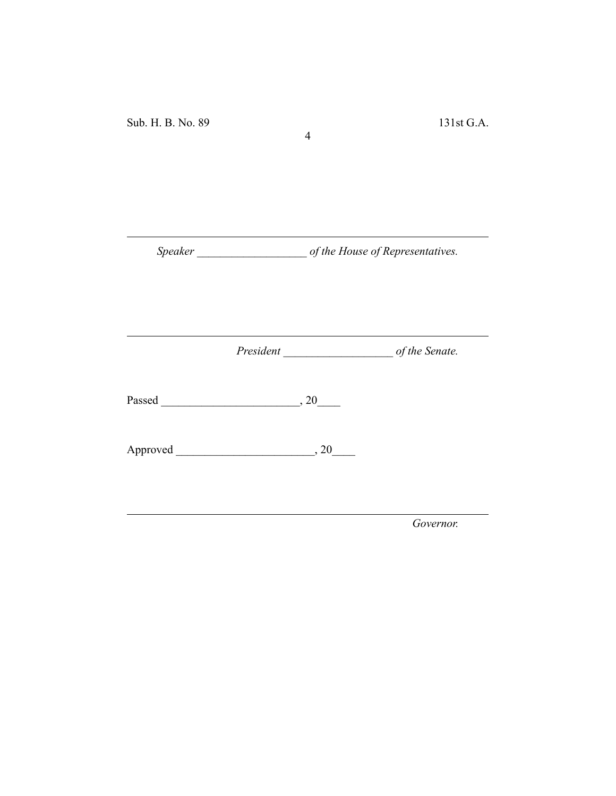*Speaker \_\_\_\_\_\_\_\_\_\_\_\_\_\_\_\_\_\_\_ of the House of Representatives.*

4

*President \_\_\_\_\_\_\_\_\_\_\_\_\_\_\_\_\_\_\_ of the Senate.*

Passed \_\_\_\_\_\_\_\_\_\_\_\_\_\_\_\_\_\_\_\_\_\_\_\_, 20\_\_\_\_

Approved \_\_\_\_\_\_\_\_\_\_\_\_\_\_\_\_\_\_\_\_\_\_\_\_, 20\_\_\_\_

*Governor.*